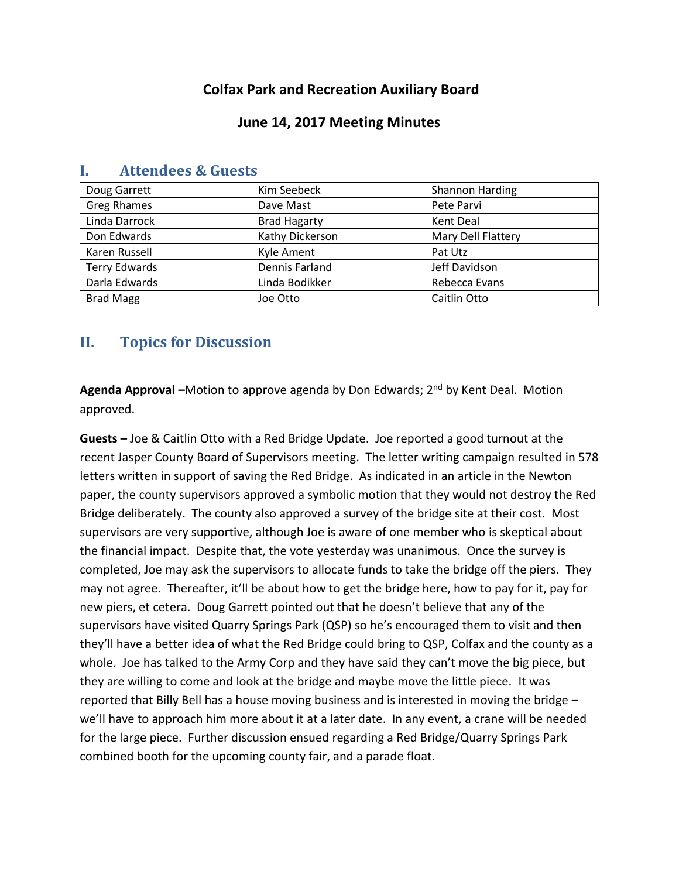# **Colfax Park and Recreation Auxiliary Board**

### **June 14, 2017 Meeting Minutes**

|                      | Kim Seebeck         |                    |
|----------------------|---------------------|--------------------|
| Doug Garrett         |                     | Shannon Harding    |
| <b>Greg Rhames</b>   | Dave Mast           | Pete Parvi         |
| Linda Darrock        | <b>Brad Hagarty</b> | Kent Deal          |
| Don Edwards          | Kathy Dickerson     | Mary Dell Flattery |
| Karen Russell        | Kyle Ament          | Pat Utz            |
| <b>Terry Edwards</b> | Dennis Farland      | Jeff Davidson      |
| Darla Edwards        | Linda Bodikker      | Rebecca Evans      |
| <b>Brad Magg</b>     | Joe Otto            | Caitlin Otto       |

## **I. Attendees & Guests**

## **II. Topics for Discussion**

**Agenda Approval –**Motion to approve agenda by Don Edwards; 2nd by Kent Deal. Motion approved.

**Guests –** Joe & Caitlin Otto with a Red Bridge Update. Joe reported a good turnout at the recent Jasper County Board of Supervisors meeting. The letter writing campaign resulted in 578 letters written in support of saving the Red Bridge. As indicated in an article in the Newton paper, the county supervisors approved a symbolic motion that they would not destroy the Red Bridge deliberately. The county also approved a survey of the bridge site at their cost. Most supervisors are very supportive, although Joe is aware of one member who is skeptical about the financial impact. Despite that, the vote yesterday was unanimous. Once the survey is completed, Joe may ask the supervisors to allocate funds to take the bridge off the piers. They may not agree. Thereafter, it'll be about how to get the bridge here, how to pay for it, pay for new piers, et cetera. Doug Garrett pointed out that he doesn't believe that any of the supervisors have visited Quarry Springs Park (QSP) so he's encouraged them to visit and then they'll have a better idea of what the Red Bridge could bring to QSP, Colfax and the county as a whole. Joe has talked to the Army Corp and they have said they can't move the big piece, but they are willing to come and look at the bridge and maybe move the little piece. It was reported that Billy Bell has a house moving business and is interested in moving the bridge – we'll have to approach him more about it at a later date. In any event, a crane will be needed for the large piece. Further discussion ensued regarding a Red Bridge/Quarry Springs Park combined booth for the upcoming county fair, and a parade float.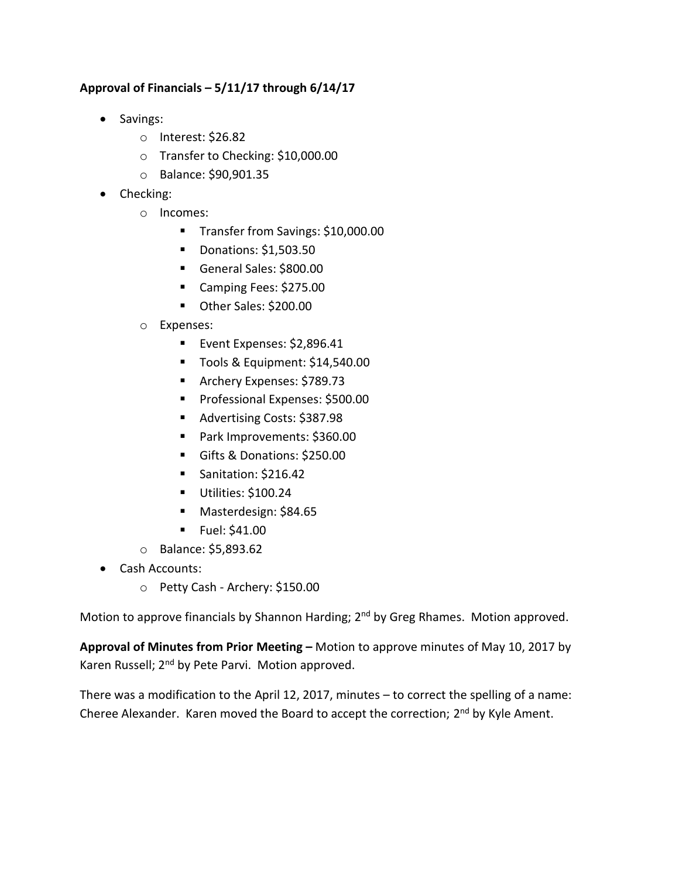### **Approval of Financials – 5/11/17 through 6/14/17**

- Savings:
	- o Interest: \$26.82
	- o Transfer to Checking: \$10,000.00
	- o Balance: \$90,901.35
- Checking:
	- o Incomes:
		- Transfer from Savings: \$10,000.00
		- **Donations: \$1,503.50**
		- General Sales: \$800.00
		- Camping Fees: \$275.00
		- Other Sales: \$200.00
	- o Expenses:
		- **Event Expenses: \$2,896.41**
		- Tools & Equipment: \$14,540.00
		- **Archery Expenses: \$789.73**
		- **Professional Expenses: \$500.00**
		- Advertising Costs: \$387.98
		- Park Improvements: \$360.00
		- Gifts & Donations: \$250.00
		- Sanitation: \$216.42
		- Utilities: \$100.24
		- Masterdesign: \$84.65
		- $\blacksquare$  Fuel: \$41.00
	- o Balance: \$5,893.62
- Cash Accounts:
	- o Petty Cash Archery: \$150.00

Motion to approve financials by Shannon Harding; 2<sup>nd</sup> by Greg Rhames. Motion approved.

**Approval of Minutes from Prior Meeting –** Motion to approve minutes of May 10, 2017 by Karen Russell; 2<sup>nd</sup> by Pete Parvi. Motion approved.

There was a modification to the April 12, 2017, minutes – to correct the spelling of a name: Cheree Alexander. Karen moved the Board to accept the correction; 2<sup>nd</sup> by Kyle Ament.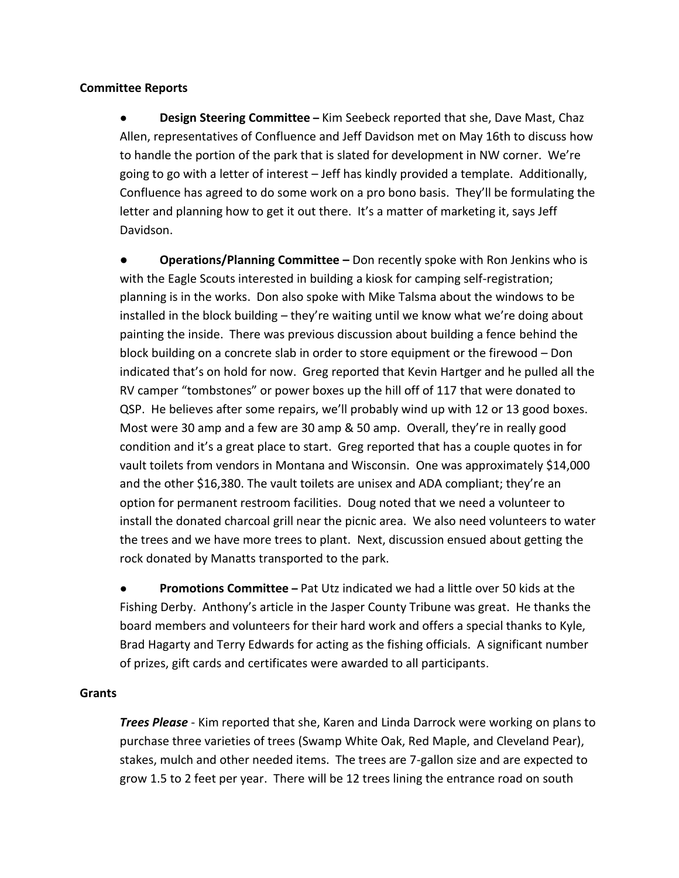#### **Committee Reports**

● **Design Steering Committee –** Kim Seebeck reported that she, Dave Mast, Chaz Allen, representatives of Confluence and Jeff Davidson met on May 16th to discuss how to handle the portion of the park that is slated for development in NW corner. We're going to go with a letter of interest – Jeff has kindly provided a template. Additionally, Confluence has agreed to do some work on a pro bono basis. They'll be formulating the letter and planning how to get it out there. It's a matter of marketing it, says Jeff Davidson.

**● Operations/Planning Committee –** Don recently spoke with Ron Jenkins who is with the Eagle Scouts interested in building a kiosk for camping self-registration; planning is in the works. Don also spoke with Mike Talsma about the windows to be installed in the block building – they're waiting until we know what we're doing about painting the inside. There was previous discussion about building a fence behind the block building on a concrete slab in order to store equipment or the firewood – Don indicated that's on hold for now. Greg reported that Kevin Hartger and he pulled all the RV camper "tombstones" or power boxes up the hill off of 117 that were donated to QSP. He believes after some repairs, we'll probably wind up with 12 or 13 good boxes. Most were 30 amp and a few are 30 amp & 50 amp. Overall, they're in really good condition and it's a great place to start. Greg reported that has a couple quotes in for vault toilets from vendors in Montana and Wisconsin. One was approximately \$14,000 and the other \$16,380. The vault toilets are unisex and ADA compliant; they're an option for permanent restroom facilities. Doug noted that we need a volunteer to install the donated charcoal grill near the picnic area. We also need volunteers to water the trees and we have more trees to plant. Next, discussion ensued about getting the rock donated by Manatts transported to the park.

● **Promotions Committee –** Pat Utz indicated we had a little over 50 kids at the Fishing Derby. Anthony's article in the Jasper County Tribune was great. He thanks the board members and volunteers for their hard work and offers a special thanks to Kyle, Brad Hagarty and Terry Edwards for acting as the fishing officials. A significant number of prizes, gift cards and certificates were awarded to all participants.

#### **Grants**

*Trees Please* - Kim reported that she, Karen and Linda Darrock were working on plans to purchase three varieties of trees (Swamp White Oak, Red Maple, and Cleveland Pear), stakes, mulch and other needed items. The trees are 7-gallon size and are expected to grow 1.5 to 2 feet per year. There will be 12 trees lining the entrance road on south